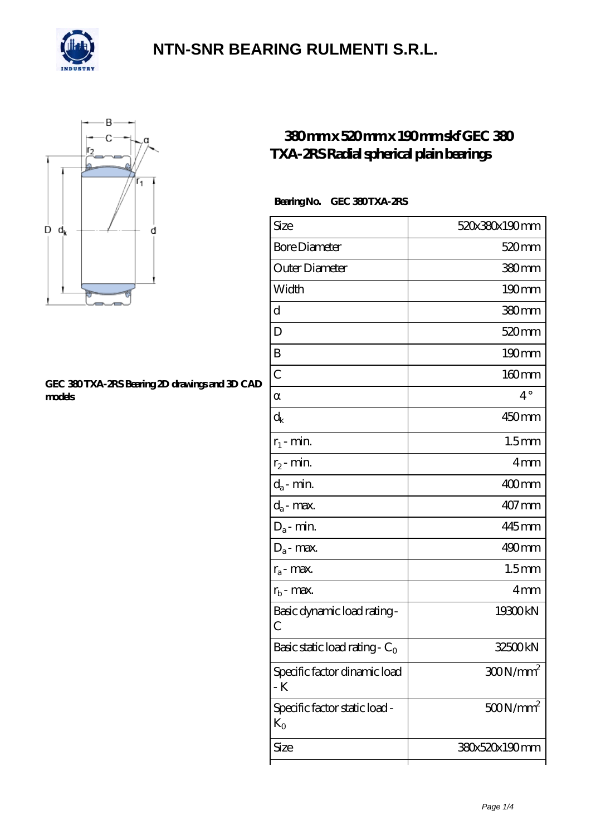



#### **[GEC 380 TXA-2RS Bearing 2D drawings and 3D CAD](https://m.confidencemenimprov.com/pic-64975068.html) [models](https://m.confidencemenimprov.com/pic-64975068.html)**

### **[380 mm x 520 mm x 190 mm skf GEC 380](https://m.confidencemenimprov.com/bd-64975068-skf-gec-380-txa-2rs-radial-spherical-plain-bearings.html) [TXA-2RS Radial spherical plain bearings](https://m.confidencemenimprov.com/bd-64975068-skf-gec-380-txa-2rs-radial-spherical-plain-bearings.html)**

#### Bearing No. GEC 380 TXA-2RS

| Size                                          | 520x380x190mm        |
|-----------------------------------------------|----------------------|
| <b>Bore Diameter</b>                          | 520 <sub>mm</sub>    |
| Outer Diameter                                | 380mm                |
| Width                                         | $190$ <sub>mm</sub>  |
| d                                             | 380mm                |
| D                                             | 520 <sub>mm</sub>    |
| B                                             | 190mm                |
| $\overline{C}$                                | 160mm                |
|                                               | $4^\circ$            |
| $\rm{d}_k$                                    | 450mm                |
| $r_1$ - min.                                  | 1.5 <sub>mm</sub>    |
| $r_2$ - min.                                  | 4mm                  |
| $d_a$ - min.                                  | 400mm                |
| $d_a$ - max.                                  | $407$ mm             |
| $D_a$ - min.                                  | 445mm                |
| $D_a$ - max.                                  | 490mm                |
| $r_a$ - max.                                  | 1.5 <sub>mm</sub>    |
| $r_{b}$ - max.                                | 4mm                  |
| Basic dynamic load rating-<br>С               | 19300kN              |
| Basic static load rating - $C_0$              | 32500kN              |
| Specific factor dinamic load<br>- K           | 300N/mm <sup>2</sup> |
| Specific factor static load -<br>$K_{\Omega}$ | $500N/mm^2$          |
| Size                                          | 380x520x190mm        |
|                                               |                      |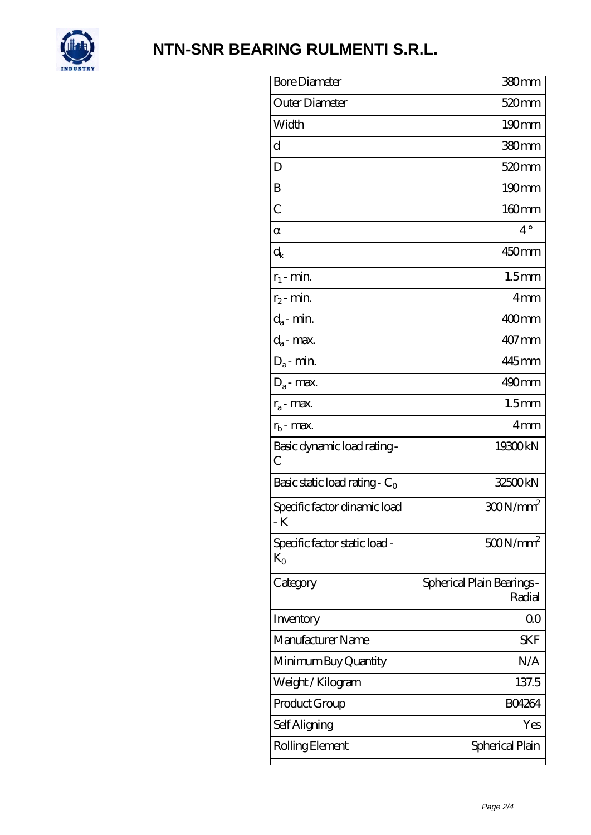

| <b>Bore Diameter</b>                   | 380mm                                |
|----------------------------------------|--------------------------------------|
| Outer Diameter                         | 520 <sub>mm</sub>                    |
| Width                                  | $190 \text{mm}$                      |
| d                                      | 380mm                                |
| D                                      | 520 <sub>mm</sub>                    |
| B                                      | $190 \text{mm}$                      |
| $\overline{C}$                         | $160$ mm                             |
|                                        | $4^\circ$                            |
| $\mathrm{d}_{\mathrm{k}}$              | 450mm                                |
| $r_1$ - min.                           | 1.5 <sub>mm</sub>                    |
| $r_2$ - min.                           | 4mm                                  |
| $d_a$ - min.                           | 400mm                                |
| $d_a$ - max.                           | 407 mm                               |
| $D_a$ - min.                           | 445mm                                |
| $D_a$ - max.                           | $490$ <sub>mm</sub>                  |
| $r_a$ - max.                           | 1.5 <sub>mm</sub>                    |
| $r_{b}$ - max.                         | 4 <sub>mm</sub>                      |
| Basic dynamic load rating-<br>С        | 19300kN                              |
| Basic static load rating - $C_0$       | 32500kN                              |
| Specific factor dinamic load<br>- K    | $300N/mm^2$                          |
| Specific factor static load -<br>$K_0$ | $500N/mm^2$                          |
| Category                               | Spherical Plain Bearings -<br>Radial |
| Inventory                              | 00                                   |
| Manufacturer Name                      | <b>SKF</b>                           |
| Minimum Buy Quantity                   | N/A                                  |
| Weight / Kilogram                      | 137.5                                |
| Product Group                          | <b>BO4264</b>                        |
| Self Aligning                          | Yes                                  |
| Rolling Element                        | Spherical Plain                      |
|                                        |                                      |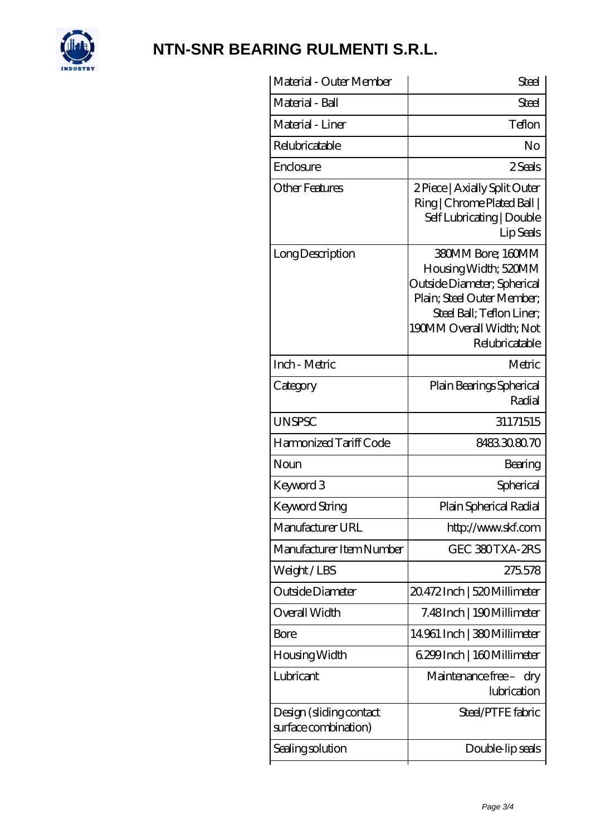

| Material - Outer Member                         | <b>Steel</b>                                                                                                                                                                      |
|-------------------------------------------------|-----------------------------------------------------------------------------------------------------------------------------------------------------------------------------------|
| Material - Ball                                 | Steel                                                                                                                                                                             |
| Material - Liner                                | Teflon                                                                                                                                                                            |
| Relubricatable                                  | No                                                                                                                                                                                |
| Enclosure                                       | 2Seals                                                                                                                                                                            |
| Other Features                                  | 2 Piece   Axially Split Outer<br>Ring   Chrome Plated Ball  <br>Self Lubricating   Double<br>Lip Seals                                                                            |
| Long Description                                | 380MM Bore: 160MM<br>Housing Width; 520MM<br>Outside Diameter; Spherical<br>Plain; Steel Outer Member;<br>Steel Ball; Teflon Liner;<br>190MM Overall Width; Not<br>Relubricatable |
| Inch - Metric                                   | Metric                                                                                                                                                                            |
| Category                                        | Plain Bearings Spherical<br>Radial                                                                                                                                                |
| <b>UNSPSC</b>                                   | 31171515                                                                                                                                                                          |
| Harmonized Tariff Code                          | 8483308070                                                                                                                                                                        |
| Noun                                            | Bearing                                                                                                                                                                           |
| Keyword 3                                       | Spherical                                                                                                                                                                         |
| Keyword String                                  | Plain Spherical Radial                                                                                                                                                            |
| Manufacturer URL                                | http://www.skf.com                                                                                                                                                                |
| Manufacturer Item Number                        | GEC 380TXA-2RS                                                                                                                                                                    |
| Weight/LBS                                      | 275578                                                                                                                                                                            |
| Outside Diameter                                | 20.472 Inch   520 Millimeter                                                                                                                                                      |
| Overall Width                                   | 7.48Inch   190Millimeter                                                                                                                                                          |
| Bore                                            | 14961 Inch   380 Millimeter                                                                                                                                                       |
| Housing Width                                   | 6.299 Inch   160 Millimeter                                                                                                                                                       |
| Lubricant                                       | Maintenance free - dry<br>lubrication                                                                                                                                             |
| Design (sliding contact<br>surface combination) | Steel/PTFE fabric                                                                                                                                                                 |
| Sealing solution                                | Double-lip seals                                                                                                                                                                  |
|                                                 |                                                                                                                                                                                   |